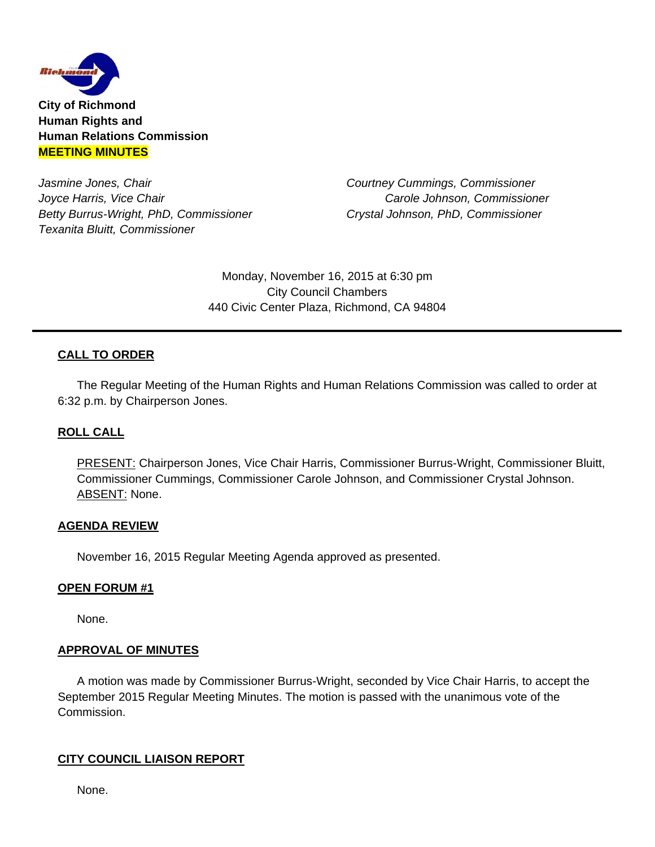

*Jasmine Jones, Chair Courtney Cummings, Commissioner Joyce Harris, Vice Chair* **Carole** *Johnson, Commissioner Carole Johnson, Commissioner Betty Burrus-Wright, PhD, Commissioner Crystal Johnson, PhD, Commissioner Texanita Bluitt, Commissioner* 

Monday, November 16, 2015 at 6:30 pm City Council Chambers 440 Civic Center Plaza, Richmond, CA 94804

## **CALL TO ORDER**

The Regular Meeting of the Human Rights and Human Relations Commission was called to order at 6:32 p.m. by Chairperson Jones.

## **ROLL CALL**

PRESENT: Chairperson Jones, Vice Chair Harris, Commissioner Burrus-Wright, Commissioner Bluitt, Commissioner Cummings, Commissioner Carole Johnson, and Commissioner Crystal Johnson. ABSENT: None.

#### **AGENDA REVIEW**

November 16, 2015 Regular Meeting Agenda approved as presented.

#### **OPEN FORUM #1**

None.

#### **APPROVAL OF MINUTES**

A motion was made by Commissioner Burrus-Wright, seconded by Vice Chair Harris, to accept the September 2015 Regular Meeting Minutes. The motion is passed with the unanimous vote of the Commission.

## **CITY COUNCIL LIAISON REPORT**

None.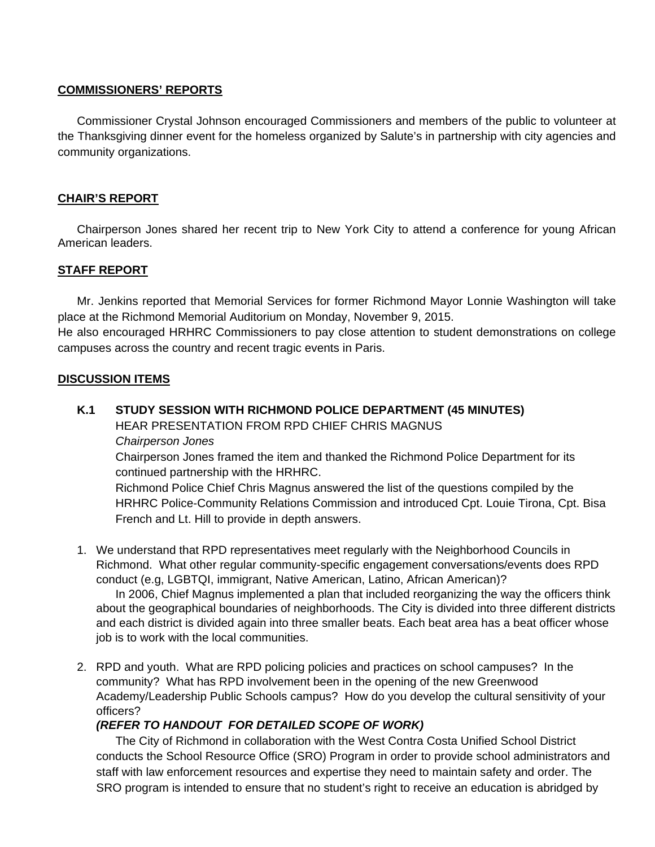#### **COMMISSIONERS' REPORTS**

 Commissioner Crystal Johnson encouraged Commissioners and members of the public to volunteer at the Thanksgiving dinner event for the homeless organized by Salute's in partnership with city agencies and community organizations.

## **CHAIR'S REPORT**

Chairperson Jones shared her recent trip to New York City to attend a conference for young African American leaders.

## **STAFF REPORT**

 Mr. Jenkins reported that Memorial Services for former Richmond Mayor Lonnie Washington will take place at the Richmond Memorial Auditorium on Monday, November 9, 2015.

He also encouraged HRHRC Commissioners to pay close attention to student demonstrations on college campuses across the country and recent tragic events in Paris.

#### **DISCUSSION ITEMS**

**K.1 STUDY SESSION WITH RICHMOND POLICE DEPARTMENT (45 MINUTES)**  HEAR PRESENTATION FROM RPD CHIEF CHRIS MAGNUS

*Chairperson Jones* 

Chairperson Jones framed the item and thanked the Richmond Police Department for its continued partnership with the HRHRC.

Richmond Police Chief Chris Magnus answered the list of the questions compiled by the HRHRC Police-Community Relations Commission and introduced Cpt. Louie Tirona, Cpt. Bisa French and Lt. Hill to provide in depth answers.

1. We understand that RPD representatives meet regularly with the Neighborhood Councils in Richmond. What other regular community-specific engagement conversations/events does RPD conduct (e.g, LGBTQI, immigrant, Native American, Latino, African American)?

 In 2006, Chief Magnus implemented a plan that included reorganizing the way the officers think about the geographical boundaries of neighborhoods. The City is divided into three different districts and each district is divided again into three smaller beats. Each beat area has a beat officer whose job is to work with the local communities.

2. RPD and youth. What are RPD policing policies and practices on school campuses? In the community? What has RPD involvement been in the opening of the new Greenwood Academy/Leadership Public Schools campus? How do you develop the cultural sensitivity of your officers?

## *(REFER TO HANDOUT FOR DETAILED SCOPE OF WORK)*

 The City of Richmond in collaboration with the West Contra Costa Unified School District conducts the School Resource Office (SRO) Program in order to provide school administrators and staff with law enforcement resources and expertise they need to maintain safety and order. The SRO program is intended to ensure that no student's right to receive an education is abridged by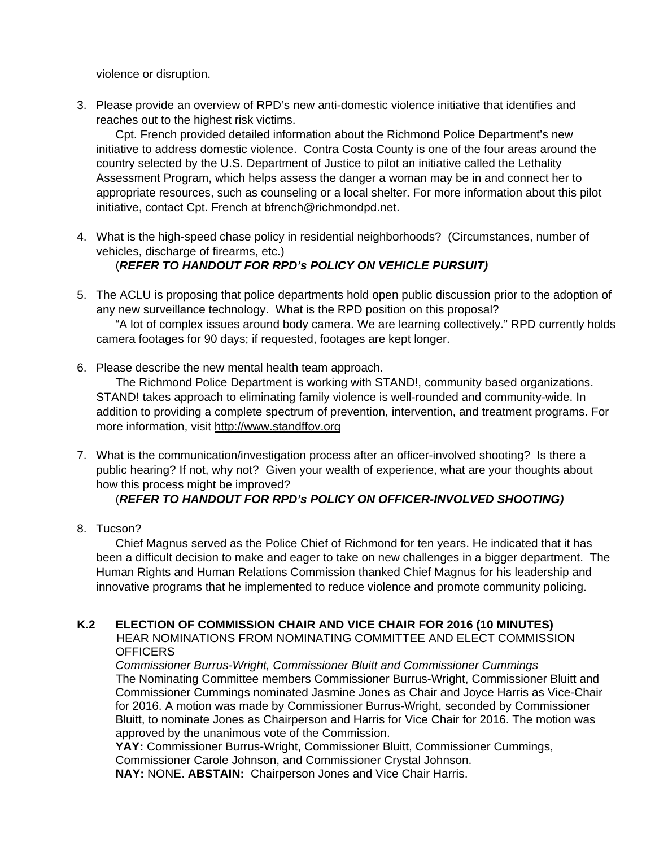violence or disruption.

3. Please provide an overview of RPD's new anti-domestic violence initiative that identifies and reaches out to the highest risk victims.

 Cpt. French provided detailed information about the Richmond Police Department's new initiative to address domestic violence. Contra Costa County is one of the four areas around the country selected by the U.S. Department of Justice to pilot an initiative called the Lethality Assessment Program, which helps assess the danger a woman may be in and connect her to appropriate resources, such as counseling or a local shelter. For more information about this pilot initiative, contact Cpt. French at bfrench@richmondpd.net.

4. What is the high-speed chase policy in residential neighborhoods? (Circumstances, number of vehicles, discharge of firearms, etc.)

# (*REFER TO HANDOUT FOR RPD's POLICY ON VEHICLE PURSUIT)*

5. The ACLU is proposing that police departments hold open public discussion prior to the adoption of any new surveillance technology. What is the RPD position on this proposal?

 "A lot of complex issues around body camera. We are learning collectively." RPD currently holds camera footages for 90 days; if requested, footages are kept longer.

6. Please describe the new mental health team approach.

 The Richmond Police Department is working with STAND!, community based organizations. STAND! takes approach to eliminating family violence is well-rounded and community-wide. In addition to providing a complete spectrum of prevention, intervention, and treatment programs. For more information, visit http://www.standffov.org

7. What is the communication/investigation process after an officer-involved shooting? Is there a public hearing? If not, why not? Given your wealth of experience, what are your thoughts about how this process might be improved?

# (*REFER TO HANDOUT FOR RPD's POLICY ON OFFICER-INVOLVED SHOOTING)*

8. Tucson?

 Chief Magnus served as the Police Chief of Richmond for ten years. He indicated that it has been a difficult decision to make and eager to take on new challenges in a bigger department. The Human Rights and Human Relations Commission thanked Chief Magnus for his leadership and innovative programs that he implemented to reduce violence and promote community policing.

# **K.2 ELECTION OF COMMISSION CHAIR AND VICE CHAIR FOR 2016 (10 MINUTES)**

HEAR NOMINATIONS FROM NOMINATING COMMITTEE AND ELECT COMMISSION **OFFICERS** 

*Commissioner Burrus-Wright, Commissioner Bluitt and Commissioner Cummings*  The Nominating Committee members Commissioner Burrus-Wright, Commissioner Bluitt and Commissioner Cummings nominated Jasmine Jones as Chair and Joyce Harris as Vice-Chair for 2016. A motion was made by Commissioner Burrus-Wright, seconded by Commissioner Bluitt, to nominate Jones as Chairperson and Harris for Vice Chair for 2016. The motion was approved by the unanimous vote of the Commission.

**YAY:** Commissioner Burrus-Wright, Commissioner Bluitt, Commissioner Cummings, Commissioner Carole Johnson, and Commissioner Crystal Johnson. **NAY:** NONE. **ABSTAIN:** Chairperson Jones and Vice Chair Harris.